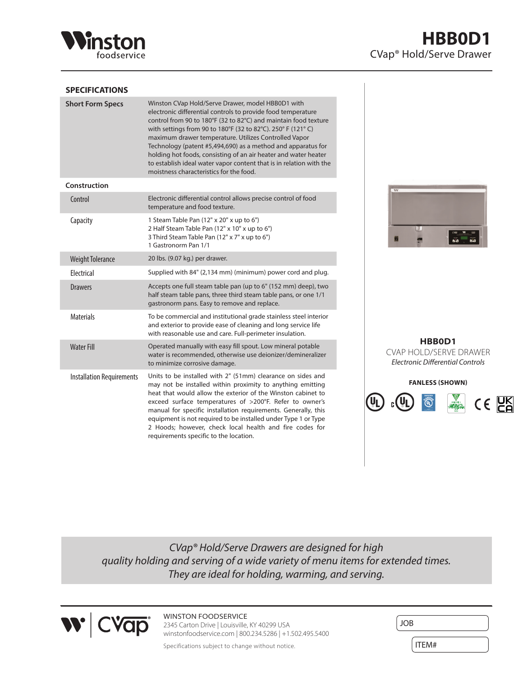

## **SPECIFICATIONS**

| <b>Short Form Specs</b>          | Winston CVap Hold/Serve Drawer, model HBB0D1 with<br>electronic differential controls to provide food temperature<br>control from 90 to 180°F (32 to 82°C) and maintain food texture<br>with settings from 90 to 180°F (32 to 82°C). 250° F (121°C)<br>maximum drawer temperature. Utilizes Controlled Vapor<br>Technology (patent #5,494,690) as a method and apparatus for<br>holding hot foods, consisting of an air heater and water heater<br>to establish ideal water vapor content that is in relation with the<br>moistness characteristics for the food. |
|----------------------------------|-------------------------------------------------------------------------------------------------------------------------------------------------------------------------------------------------------------------------------------------------------------------------------------------------------------------------------------------------------------------------------------------------------------------------------------------------------------------------------------------------------------------------------------------------------------------|
| Construction                     |                                                                                                                                                                                                                                                                                                                                                                                                                                                                                                                                                                   |
| Control                          | Electronic differential control allows precise control of food<br>temperature and food texture.                                                                                                                                                                                                                                                                                                                                                                                                                                                                   |
| Capacity                         | 1 Steam Table Pan (12" x 20" x up to 6")<br>2 Half Steam Table Pan (12" x 10" x up to 6")<br>3 Third Steam Table Pan (12" x 7" x up to 6")<br>1 Gastronorm Pan 1/1                                                                                                                                                                                                                                                                                                                                                                                                |
| <b>Weight Tolerance</b>          | 20 lbs. (9.07 kg.) per drawer.                                                                                                                                                                                                                                                                                                                                                                                                                                                                                                                                    |
| <b>Flectrical</b>                | Supplied with 84" (2,134 mm) (minimum) power cord and plug.                                                                                                                                                                                                                                                                                                                                                                                                                                                                                                       |
| <b>Drawers</b>                   | Accepts one full steam table pan (up to 6" (152 mm) deep), two<br>half steam table pans, three third steam table pans, or one 1/1<br>gastronorm pans. Easy to remove and replace.                                                                                                                                                                                                                                                                                                                                                                                 |
| <b>Materials</b>                 | To be commercial and institutional grade stainless steel interior<br>and exterior to provide ease of cleaning and long service life<br>with reasonable use and care. Full-perimeter insulation.                                                                                                                                                                                                                                                                                                                                                                   |
| <b>Water Fill</b>                | Operated manually with easy fill spout. Low mineral potable<br>water is recommended, otherwise use deionizer/demineralizer<br>to minimize corrosive damage.                                                                                                                                                                                                                                                                                                                                                                                                       |
| <b>Installation Requirements</b> | Units to be installed with 2" (51mm) clearance on sides and<br>may not be installed within proximity to anything emitting<br>heat that would allow the exterior of the Winston cabinet to<br>exceed surface temperatures of >200°F. Refer to owner's<br>manual for specific installation requirements. Generally, this<br>equipment is not required to be installed under Type 1 or Type<br>2 Hoods; however, check local health and fire codes for<br>requirements specific to the location.                                                                     |



**HBB0D1** CVAP HOLD/SERVE DRAWER *Electronic Differential Controls*



*CVap® Hold/Serve Drawers are designed for high quality holding and serving of a wide variety of menu items for extended times. They are ideal for holding, warming, and serving.*



WINSTON FOODSERVICE 2345 Carton Drive | Louisville, KY 40299 USA winstonfoodservice.com | 800.234.5286 | +1.502.495.5400

| <b>JOB</b> |  |
|------------|--|
| ITEM#      |  |

Specifications subject to change without notice.